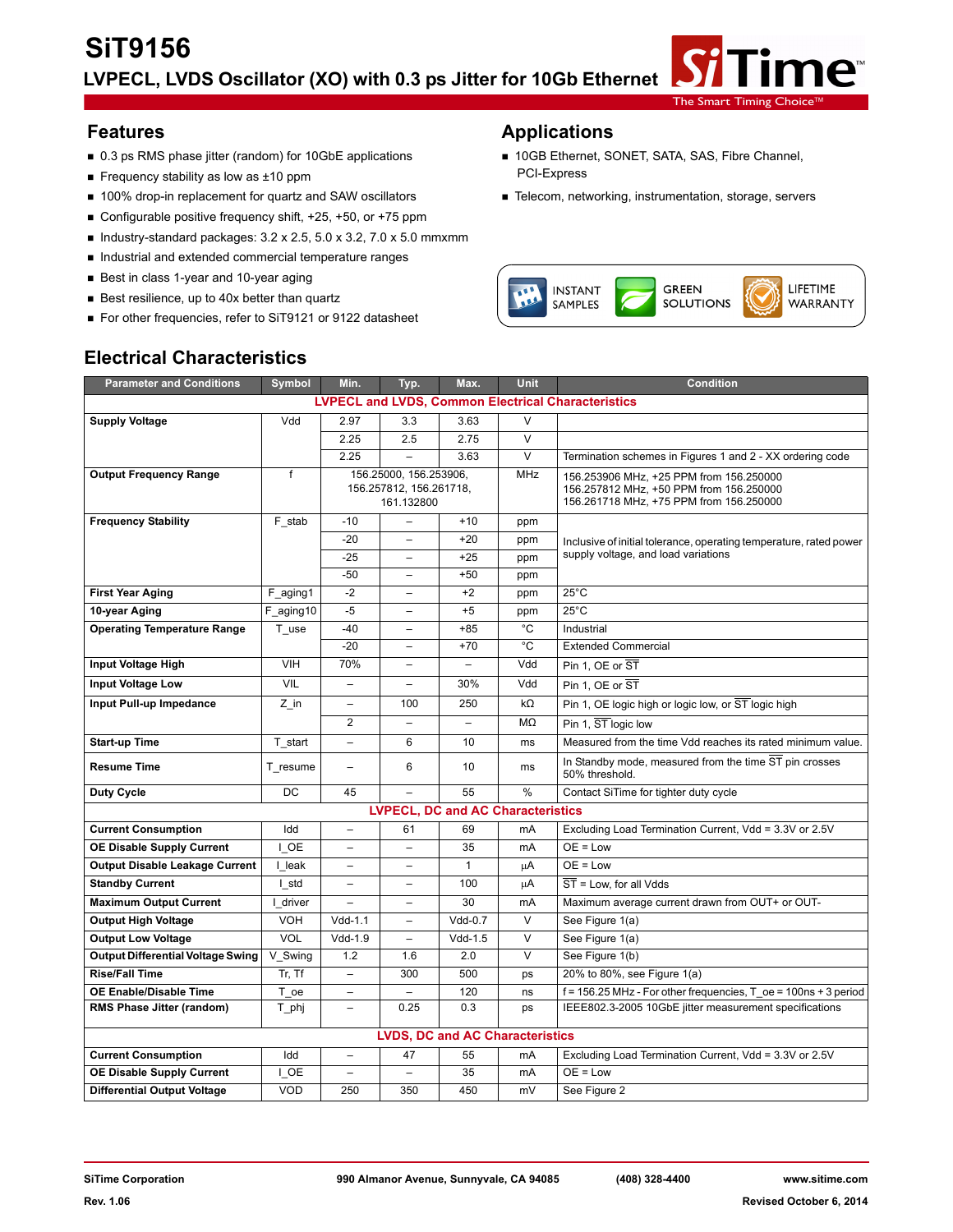

- 0.3 ps RMS phase jitter (random) for 10GbE applications 10GB Ethernet, SONET, SATA, SAS, Fibre Channel,
- Frequency stability as low as ±10 ppm
- 100% drop-in replacement for quartz and SAW oscillators Telecom, networking, instrumentation, storage, servers
- Configurable positive frequency shift, +25, +50, or +75 ppm
- Industry-standard packages:  $3.2 \times 2.5$ ,  $5.0 \times 3.2$ ,  $7.0 \times 5.0$  mmxmm
- Industrial and extended commercial temperature ranges
- Best in class 1-year and 10-year aging
- Best resilience, up to 40x better than quartz
- For other frequencies, refer to SiT9121 or 9122 datasheet

#### **Features Applications**

- 
- 



## **Electrical Characteristics**

| <b>Parameter and Conditions</b>                           | <b>Symbol</b> | Min.                     | Typ.                                                            | Max.                                     | <b>Unit</b>                                                                                                                                 | <b>Condition</b>                                                         |  |  |
|-----------------------------------------------------------|---------------|--------------------------|-----------------------------------------------------------------|------------------------------------------|---------------------------------------------------------------------------------------------------------------------------------------------|--------------------------------------------------------------------------|--|--|
| <b>LVPECL and LVDS, Common Electrical Characteristics</b> |               |                          |                                                                 |                                          |                                                                                                                                             |                                                                          |  |  |
| <b>Supply Voltage</b>                                     | Vdd           | 2.97                     | 3.3                                                             | 3.63                                     | V                                                                                                                                           |                                                                          |  |  |
|                                                           |               | 2.25                     | 2.5                                                             | 2.75                                     | $\vee$                                                                                                                                      |                                                                          |  |  |
|                                                           |               | 2.25                     |                                                                 | 3.63                                     | $\overline{\mathsf{v}}$                                                                                                                     | Termination schemes in Figures 1 and 2 - XX ordering code                |  |  |
| <b>Output Frequency Range</b>                             | f             |                          | 156.25000, 156.253906,<br>156.257812, 156.261718,<br>161.132800 |                                          | <b>MHz</b><br>156.253906 MHz, +25 PPM from 156.250000<br>156.257812 MHz, +50 PPM from 156.250000<br>156.261718 MHz, +75 PPM from 156.250000 |                                                                          |  |  |
| <b>Frequency Stability</b>                                | F stab        | $-10$                    |                                                                 | $+10$                                    | ppm                                                                                                                                         |                                                                          |  |  |
|                                                           |               | $-20$                    | $\overline{\phantom{0}}$                                        | $+20$                                    | ppm                                                                                                                                         | Inclusive of initial tolerance, operating temperature, rated power       |  |  |
|                                                           |               | $-25$                    |                                                                 | $+25$                                    | ppm                                                                                                                                         | supply voltage, and load variations                                      |  |  |
|                                                           |               | $-50$                    |                                                                 | $+50$                                    | ppm                                                                                                                                         |                                                                          |  |  |
| <b>First Year Aging</b>                                   | F aging1      | $-2$                     | $\qquad \qquad -$                                               | $+2$                                     | ppm                                                                                                                                         | $25^{\circ}$ C                                                           |  |  |
| 10-year Aging                                             | F aging10     | $-5$                     | $\overline{\phantom{0}}$                                        | $+5$                                     | ppm                                                                                                                                         | $25^{\circ}$ C                                                           |  |  |
| <b>Operating Temperature Range</b>                        | T_use         | $-40$                    | $\overline{\phantom{0}}$                                        | $+85$                                    | °C                                                                                                                                          | Industrial                                                               |  |  |
|                                                           |               | $-20$                    |                                                                 | $+70$                                    | °C                                                                                                                                          | <b>Extended Commercial</b>                                               |  |  |
| Input Voltage High                                        | <b>VIH</b>    | 70%                      |                                                                 |                                          | Vdd                                                                                                                                         | Pin 1, OE or ST                                                          |  |  |
| <b>Input Voltage Low</b>                                  | VIL           |                          |                                                                 | 30%                                      | Vdd                                                                                                                                         | Pin 1, OE or ST                                                          |  |  |
| Input Pull-up Impedance                                   | $Z$ in        | $\overline{a}$           | 100                                                             | 250                                      | $k\Omega$                                                                                                                                   | Pin 1, OE logic high or logic low, or ST logic high                      |  |  |
|                                                           |               | $\overline{2}$           |                                                                 |                                          | MΩ                                                                                                                                          | Pin 1, ST logic low                                                      |  |  |
| <b>Start-up Time</b>                                      | T start       | $\overline{a}$           | 6                                                               | 10                                       | ms                                                                                                                                          | Measured from the time Vdd reaches its rated minimum value.              |  |  |
| <b>Resume Time</b>                                        | T resume      | $\overline{\phantom{0}}$ | 6                                                               | 10                                       | ms                                                                                                                                          | In Standby mode, measured from the time ST pin crosses<br>50% threshold. |  |  |
| <b>Duty Cycle</b>                                         | <b>DC</b>     | 45                       |                                                                 | 55                                       | $\frac{0}{0}$                                                                                                                               | Contact SiTime for tighter duty cycle                                    |  |  |
|                                                           |               |                          |                                                                 | <b>LVPECL, DC and AC Characteristics</b> |                                                                                                                                             |                                                                          |  |  |
| <b>Current Consumption</b>                                | Idd           | $\overline{\phantom{0}}$ | 61                                                              | 69                                       | mA                                                                                                                                          | Excluding Load Termination Current, Vdd = 3.3V or 2.5V                   |  |  |
| <b>OE Disable Supply Current</b>                          | I OE          | $\overline{\phantom{0}}$ | $\overline{\phantom{0}}$                                        | 35                                       | mA                                                                                                                                          | $OE = Low$                                                               |  |  |
| <b>Output Disable Leakage Current</b>                     | I leak        | $\overline{\phantom{0}}$ | $\overline{\phantom{0}}$                                        | $\mathbf{1}$                             | μA                                                                                                                                          | $OE = Low$                                                               |  |  |
| <b>Standby Current</b>                                    | I std         |                          |                                                                 | 100                                      | μA                                                                                                                                          | $\overline{ST}$ = Low. for all Vdds                                      |  |  |
| <b>Maximum Output Current</b>                             | I driver      |                          |                                                                 | 30                                       | mA                                                                                                                                          | Maximum average current drawn from OUT+ or OUT-                          |  |  |
| <b>Output High Voltage</b>                                | <b>VOH</b>    | $Vdd-1.1$                | $\overline{\phantom{0}}$                                        | $Vdd-0.7$                                | $\vee$                                                                                                                                      | See Figure 1(a)                                                          |  |  |
| <b>Output Low Voltage</b>                                 | VOL           | $Vdd-1.9$                | $\qquad \qquad -$                                               | $Vdd-1.5$                                | $\vee$                                                                                                                                      | See Figure 1(a)                                                          |  |  |
| <b>Output Differential Voltage Swing</b>                  | V Swing       | 1.2                      | 1.6                                                             | 2.0                                      | $\vee$                                                                                                                                      | See Figure 1(b)                                                          |  |  |
| <b>Rise/Fall Time</b>                                     | Tr. Tf        | $\overline{\phantom{0}}$ | 300                                                             | 500                                      | ps                                                                                                                                          | 20% to 80%, see Figure 1(a)                                              |  |  |
| <b>OE Enable/Disable Time</b>                             | T oe          | $\overline{\phantom{0}}$ |                                                                 | 120                                      | ns                                                                                                                                          | $f = 156.25$ MHz - For other frequencies, T $oe = 100$ ns + 3 period     |  |  |
| RMS Phase Jitter (random)                                 | T phj         | $\equiv$                 | 0.25                                                            | 0.3                                      | ps                                                                                                                                          | IEEE802.3-2005 10GbE jitter measurement specifications                   |  |  |
| <b>LVDS, DC and AC Characteristics</b>                    |               |                          |                                                                 |                                          |                                                                                                                                             |                                                                          |  |  |
| <b>Current Consumption</b>                                | Idd           | $\overline{\phantom{0}}$ | 47                                                              | 55                                       | mA                                                                                                                                          | Excluding Load Termination Current, Vdd = 3.3V or 2.5V                   |  |  |
| <b>OE Disable Supply Current</b>                          | I OE          | $\overline{\phantom{0}}$ | $\overline{\phantom{0}}$                                        | 35                                       | mA                                                                                                                                          | $OE = Low$                                                               |  |  |
| <b>Differential Output Voltage</b>                        | VOD           | 250                      | 350                                                             | 450                                      | mV                                                                                                                                          | See Figure 2                                                             |  |  |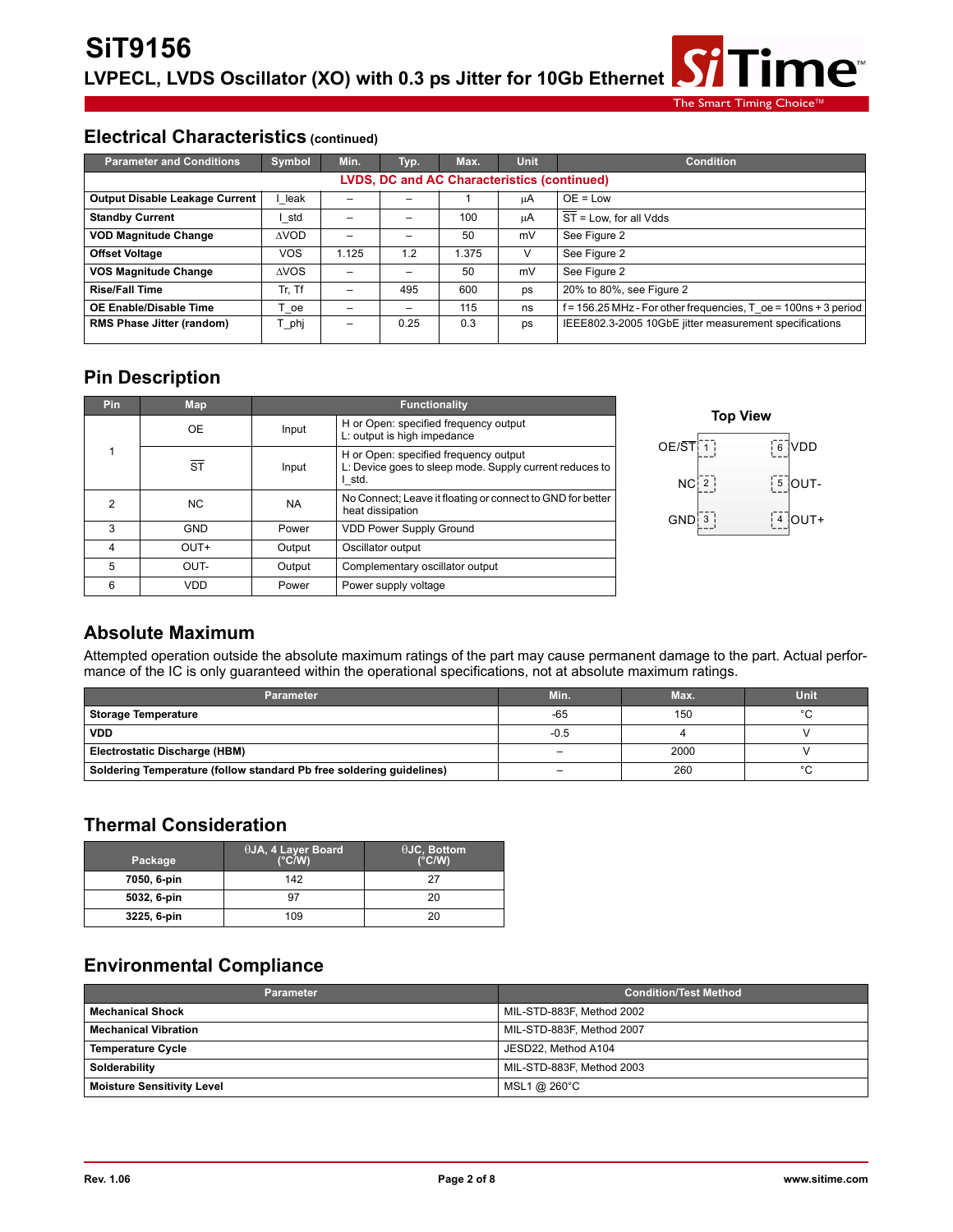**Fime**™ The Smart Timing Choic

#### **Electrical Characteristics (continued)**

| <b>Parameter and Conditions</b>                    | Symbol      | Min.            | Typ. | Max.  | <b>Unit</b> | <b>Condition</b>                                                  |  |  |
|----------------------------------------------------|-------------|-----------------|------|-------|-------------|-------------------------------------------------------------------|--|--|
| <b>LVDS, DC and AC Characteristics (continued)</b> |             |                 |      |       |             |                                                                   |  |  |
| Output Disable Leakage Current                     | leak        |                 |      |       | цA          | $OE = Low$                                                        |  |  |
| <b>Standby Current</b>                             | std         | -               | -    | 100   | μA          | $\overline{ST}$ = Low. for all Vdds                               |  |  |
| <b>VOD Magnitude Change</b>                        | <b>AVOD</b> | -               |      | 50    | mV          | See Figure 2                                                      |  |  |
| <b>Offset Voltage</b>                              | VOS         | 1.125           | 1.2  | 1.375 | V           | See Figure 2                                                      |  |  |
| <b>VOS Magnitude Change</b>                        | <b>AVOS</b> | -               | -    | 50    | mV          | See Figure 2                                                      |  |  |
| <b>Rise/Fall Time</b>                              | Tr. Tf      | -               | 495  | 600   | ps          | 20% to 80%, see Figure 2                                          |  |  |
| <b>OE Enable/Disable Time</b>                      | ⊺ oe        | -               | -    | 115   | ns          | $f = 156.25$ MHz - For other frequencies, T oe = 100ns + 3 period |  |  |
| RMS Phase Jitter (random)                          | Г phj       | $\qquad \qquad$ | 0.25 | 0.3   | ps          | IEEE802.3-2005 10GbE jitter measurement specifications            |  |  |

## **Pin Description**

| <b>Pin</b> | Map                    | <b>Functionality</b> |                                                                                                            |  |  |  |
|------------|------------------------|----------------------|------------------------------------------------------------------------------------------------------------|--|--|--|
|            | <b>OE</b>              | Input                | H or Open: specified frequency output<br>L: output is high impedance                                       |  |  |  |
|            | $\overline{\text{ST}}$ | Input                | H or Open: specified frequency output<br>L: Device goes to sleep mode. Supply current reduces to<br>I std. |  |  |  |
| 2          | NC.                    | <b>NA</b>            | No Connect; Leave it floating or connect to GND for better<br>heat dissipation                             |  |  |  |
| 3          | <b>GND</b>             | Power                | <b>VDD Power Supply Ground</b>                                                                             |  |  |  |
| 4          | OUT+                   | Output               | Oscillator output                                                                                          |  |  |  |
| 5          | OUT-                   | Output               | Complementary oscillator output                                                                            |  |  |  |
| 6          | VDD                    | Power                | Power supply voltage                                                                                       |  |  |  |



#### **Absolute Maximum**

Attempted operation outside the absolute maximum ratings of the part may cause permanent damage to the part. Actual performance of the IC is only guaranteed within the operational specifications, not at absolute maximum ratings.

| <b>Parameter</b>                                                     | Min.                     | Max. | Unit    |
|----------------------------------------------------------------------|--------------------------|------|---------|
| <b>Storage Temperature</b>                                           | $-65$                    | 150  | $\circ$ |
| <b>VDD</b>                                                           | $-0.5$                   |      |         |
| Electrostatic Discharge (HBM)                                        | $\overline{\phantom{0}}$ | 2000 |         |
| Soldering Temperature (follow standard Pb free soldering guidelines) | -                        | 260  | $\sim$  |

#### **Thermal Consideration**

| Package     | $\theta$ JA, 4 Layer Board<br>$(^{\circ}C/W)$ | $\theta$ JC, Bottom<br>$(^{\circ}C/W)$ |
|-------------|-----------------------------------------------|----------------------------------------|
| 7050, 6-pin | 142                                           | 27                                     |
| 5032, 6-pin | 97                                            | 20                                     |
| 3225, 6-pin | 109                                           | 20                                     |

## **Environmental Compliance**

| <b>Parameter</b>                  | <b>Condition/Test Method</b> |
|-----------------------------------|------------------------------|
| <b>Mechanical Shock</b>           | MIL-STD-883F, Method 2002    |
| <b>Mechanical Vibration</b>       | MIL-STD-883F, Method 2007    |
| <b>Temperature Cycle</b>          | JESD22. Method A104          |
| Solderability                     | MIL-STD-883F, Method 2003    |
| <b>Moisture Sensitivity Level</b> | MSL1 @ 260°C                 |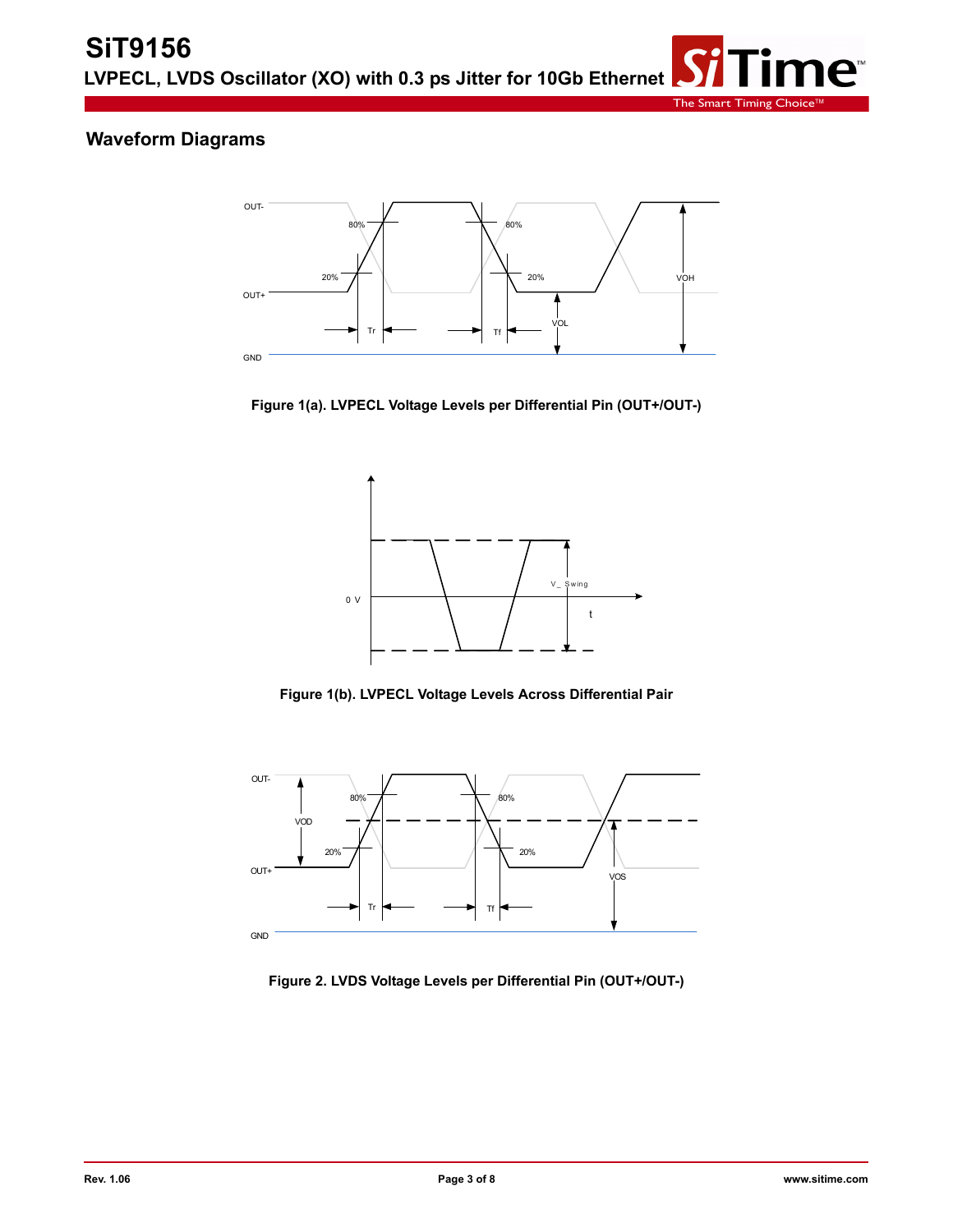

## **Waveform Diagrams**



**Figure 1(a). LVPECL Voltage Levels per Differential Pin (OUT+/OUT-)**



**Figure 1(b). LVPECL Voltage Levels Across Differential Pair**



**Figure 2. LVDS Voltage Levels per Differential Pin (OUT+/OUT-)**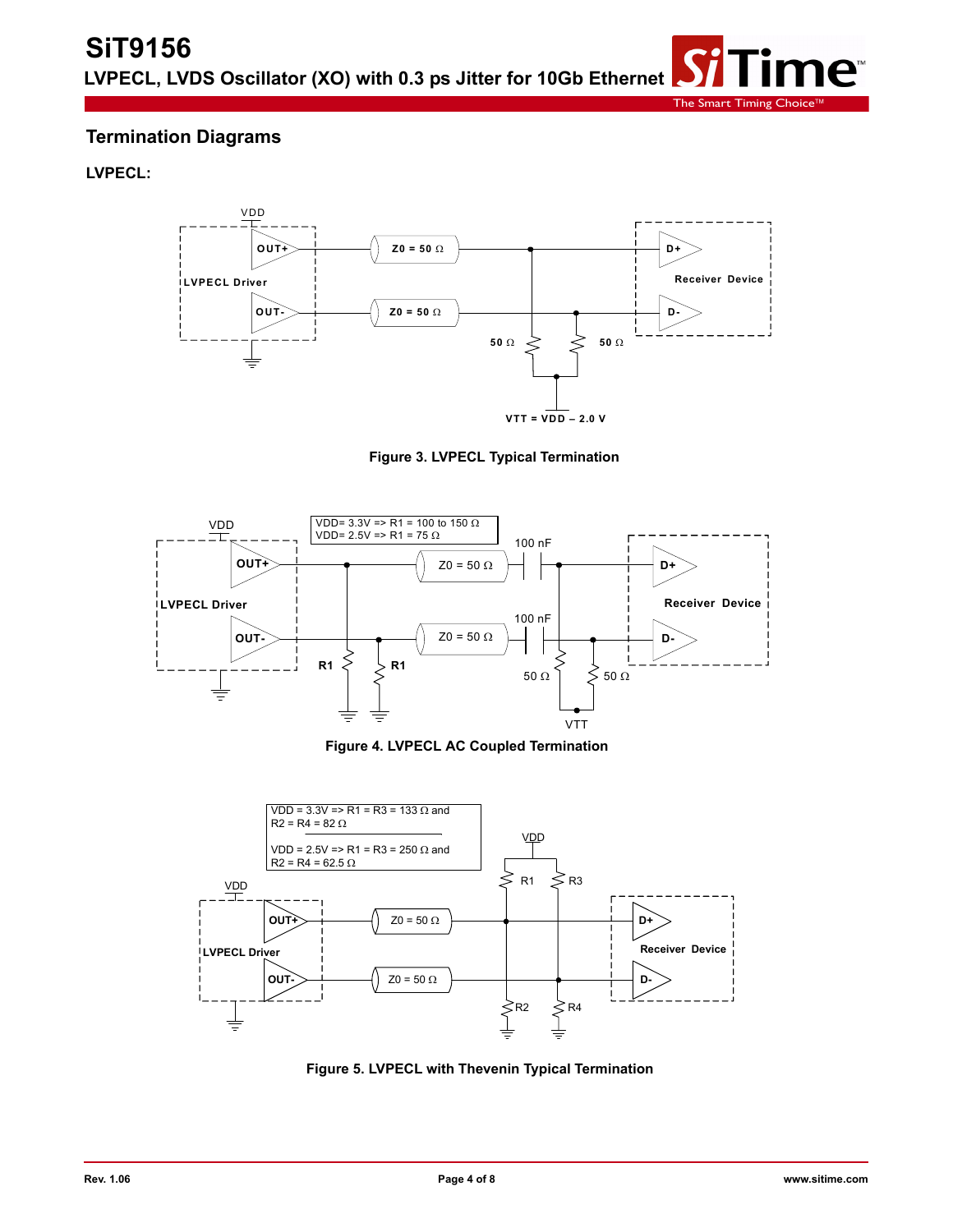# **Termination Diagrams**

**LVPECL:**



The Smart Timing Choi

ne<sup>®</sup>

**Figure 3. LVPECL Typical Termination**



**Figure 4. LVPECL AC Coupled Termination**



**Figure 5. LVPECL with Thevenin Typical Termination**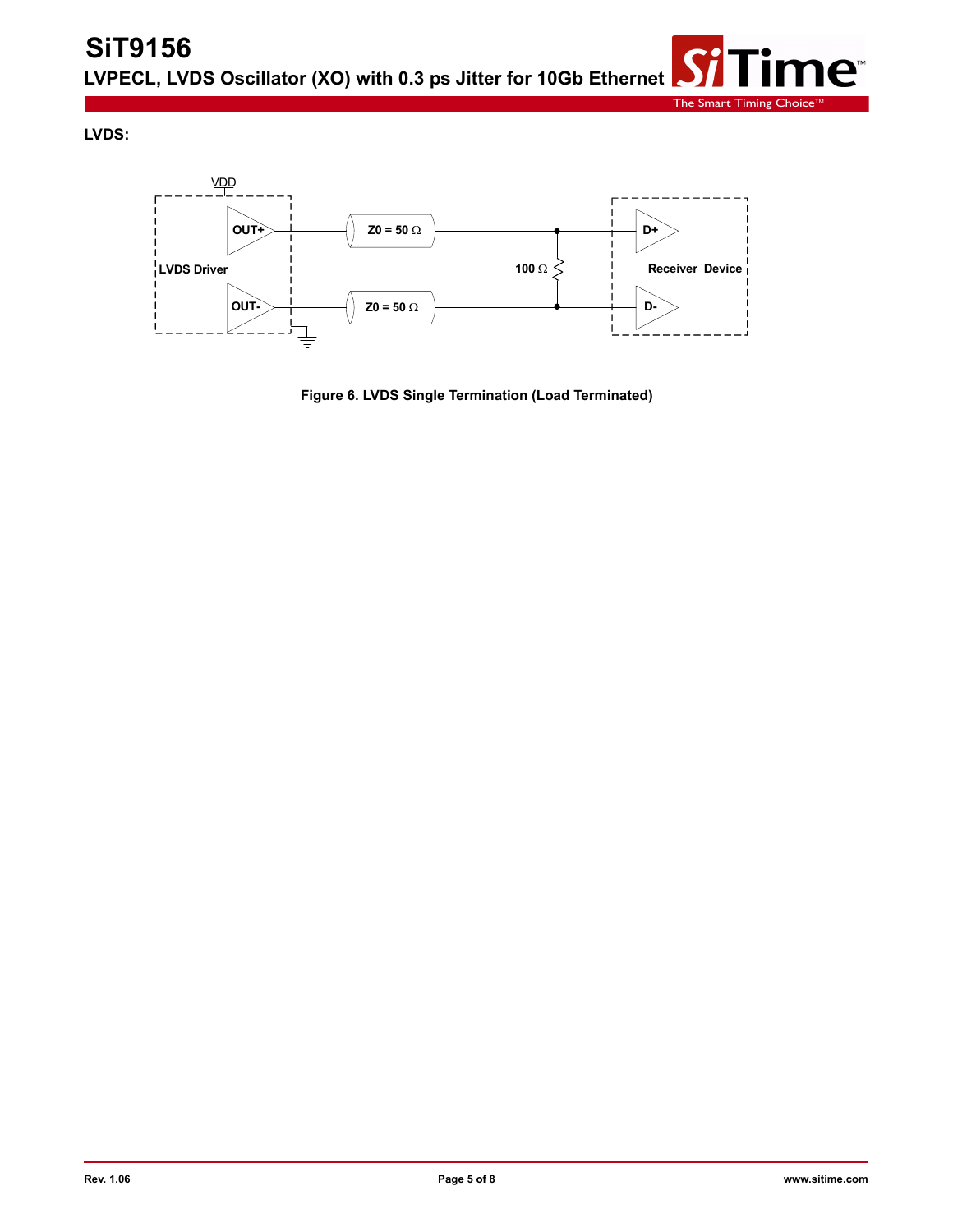**LVDS:**



**Figure 6. LVDS Single Termination (Load Terminated)**

ïme™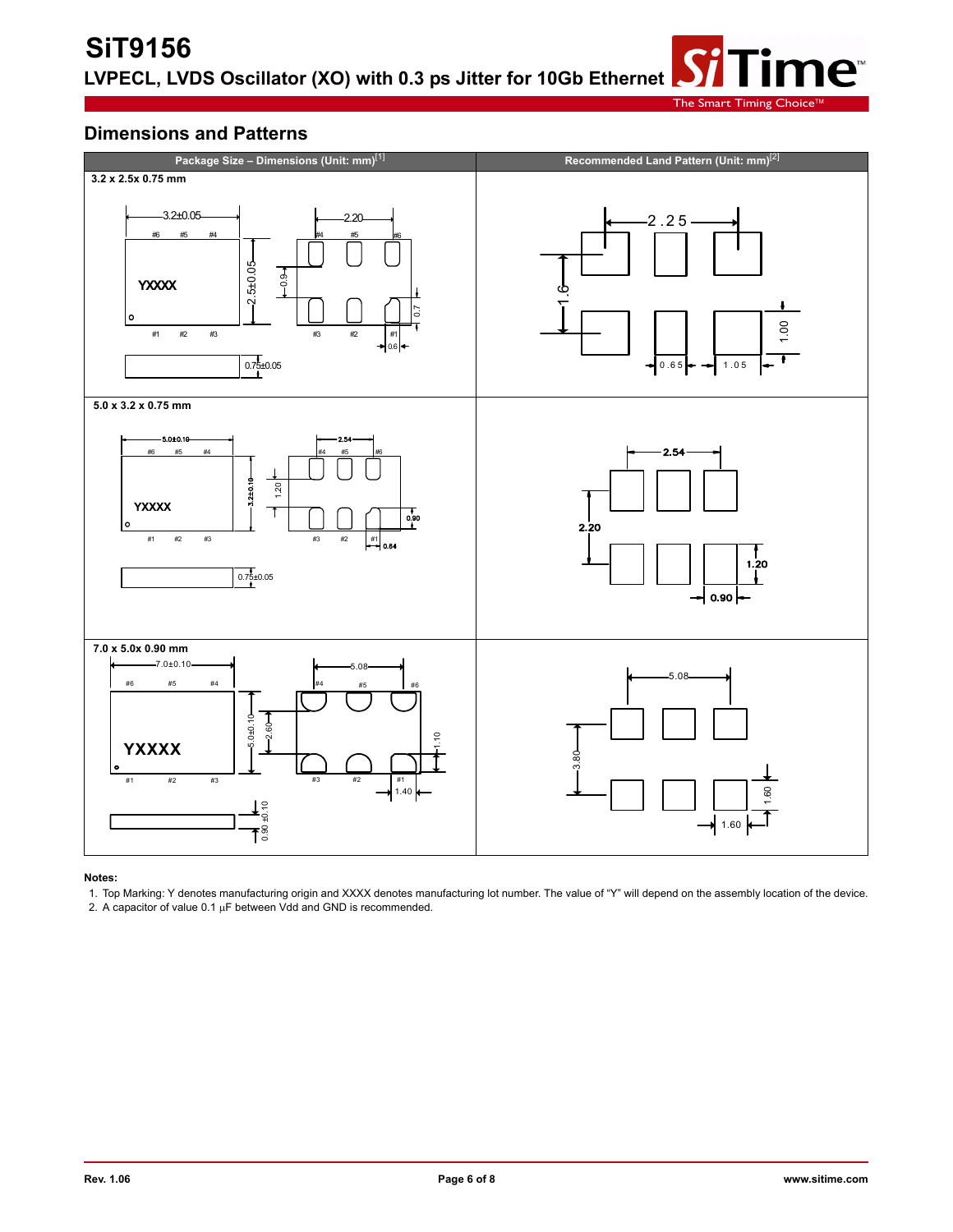The Smart Timing

ne<sup>®</sup>

#### **Dimensions and Patterns**



#### **Notes:**

1. Top Marking: Y denotes manufacturing origin and XXXX denotes manufacturing lot number. The value of "Y" will depend on the assembly location of the device.

2. A capacitor of value  $0.1 \mu F$  between Vdd and GND is recommended.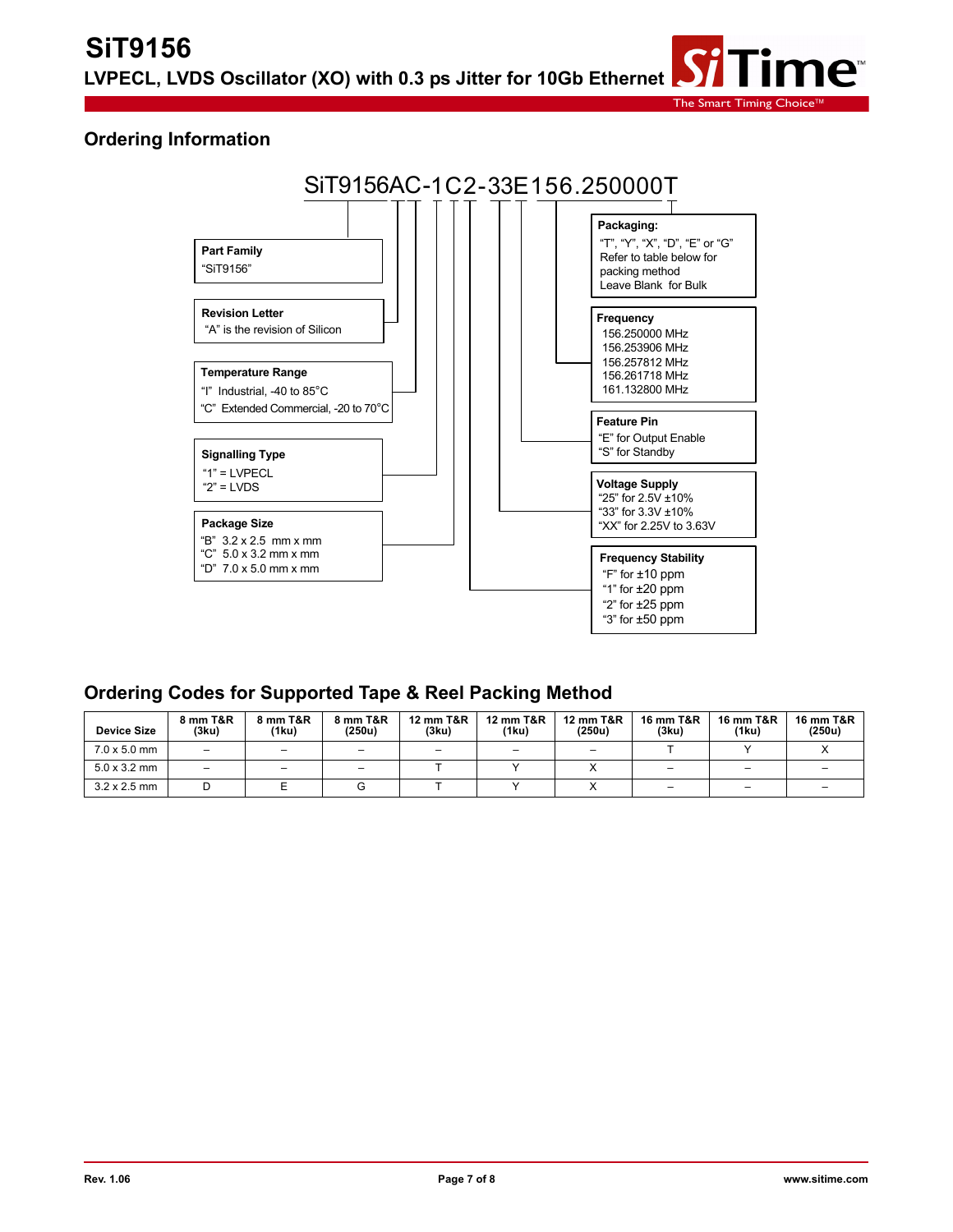#### **Ordering Information**



#### **Ordering Codes for Supported Tape & Reel Packing Method**

| <b>Device Size</b>  | 8 mm T&R<br>(3ku)        | 8 mm T&R<br>(1ku)        | 8 mm T&R<br>(250u)       | <b>12 mm T&amp;R</b><br>(3ku) | <b>12 mm T&amp;R</b><br>(1ku) | 12 mm T&R<br>(250u)      | <b>16 mm T&amp;R</b><br>(3ku) | <b>16 mm T&amp;R</b><br>(1ku) | <b>16 mm T&amp;R</b><br>(250u) |
|---------------------|--------------------------|--------------------------|--------------------------|-------------------------------|-------------------------------|--------------------------|-------------------------------|-------------------------------|--------------------------------|
| $7.0 \times 5.0$ mm | $\overline{\phantom{0}}$ | $\overline{\phantom{0}}$ | $\overline{\phantom{m}}$ |                               | $\overline{\phantom{0}}$      | $\overline{\phantom{0}}$ |                               |                               |                                |
| $5.0 \times 3.2$ mm | -                        | -                        | -                        |                               |                               |                          |                               | -                             |                                |
| $3.2 \times 2.5$ mm |                          |                          |                          |                               |                               |                          |                               | -                             |                                |

The Smart Timing Choic

ne™